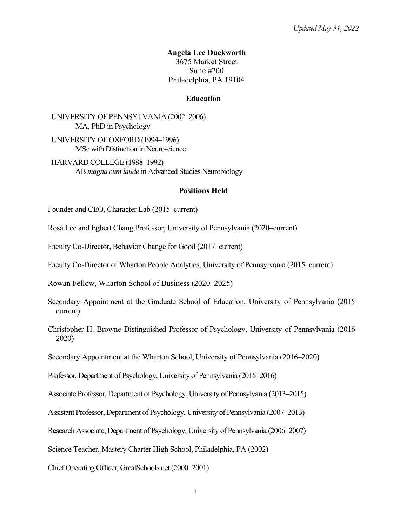### **Angela Lee Duckworth** 3675 Market Street Suite #200 Philadelphia, PA 19104

### **Education**

UNIVERSITY OF PENNSYLVANIA (2002–2006) MA, PhD in Psychology

UNIVERSITY OF OXFORD (1994–1996) MSc with Distinction in Neuroscience

HARVARD COLLEGE (1988–1992) AB *magna cum laude* in Advanced Studies Neurobiology

#### **Positions Held**

Founder and CEO, Character Lab (2015–current)

- Rosa Lee and Egbert Chang Professor, University of Pennsylvania (2020–current)
- Faculty Co-Director, Behavior Change for Good (2017–current)
- Faculty Co-Director of Wharton People Analytics, University of Pennsylvania (2015–current)

Rowan Fellow, Wharton School of Business (2020–2025)

- Secondary Appointment at the Graduate School of Education, University of Pennsylvania (2015– current)
- Christopher H. Browne Distinguished Professor of Psychology, University of Pennsylvania (2016– 2020)

Secondary Appointment at the Wharton School, University of Pennsylvania (2016–2020)

Professor, Department of Psychology, University of Pennsylvania (2015–2016)

Associate Professor, Department of Psychology, University of Pennsylvania (2013–2015)

Assistant Professor, Department of Psychology, University of Pennsylvania (2007–2013)

Research Associate, Department of Psychology, University of Pennsylvania (2006–2007)

Science Teacher, Mastery Charter High School, Philadelphia, PA (2002)

Chief Operating Officer, GreatSchools.net (2000–2001)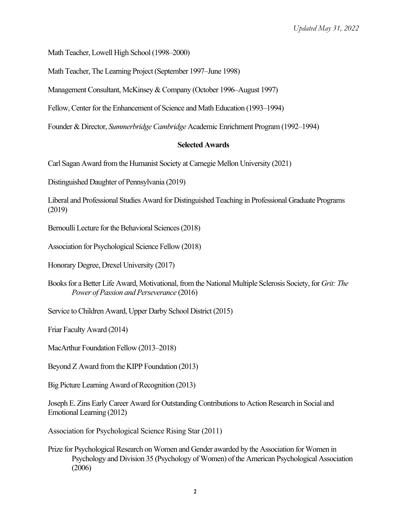Math Teacher, Lowell High School (1998–2000)

Math Teacher, The Learning Project (September 1997–June 1998)

Management Consultant, McKinsey & Company (October 1996–August 1997)

Fellow, Center for the Enhancement of Science and Math Education (1993–1994)

Founder & Director, *Summerbridge Cambridge* Academic Enrichment Program (1992–1994)

## **Selected Awards**

Carl Sagan Award from the Humanist Society at Carnegie Mellon University (2021)

Distinguished Daughter of Pennsylvania (2019)

Liberal and Professional Studies Award for Distinguished Teaching in Professional Graduate Programs (2019)

Bernoulli Lecture for the Behavioral Sciences (2018)

Association for Psychological Science Fellow (2018)

Honorary Degree, Drexel University (2017)

Books for a Better Life Award, Motivational, from the National Multiple Sclerosis Society, for *Grit: The Power of Passion and Perseverance* (2016)

Service to Children Award, Upper Darby School District (2015)

Friar Faculty Award (2014)

MacArthur Foundation Fellow (2013–2018)

Beyond Z Award from the KIPP Foundation (2013)

Big Picture Learning Award of Recognition (2013)

Joseph E. Zins Early Career Award for Outstanding Contributions to Action Research in Social and Emotional Learning (2012)

Association for Psychological Science Rising Star (2011)

Prize for Psychological Research on Women and Gender awarded by the Association for Women in Psychology and Division 35 (Psychology of Women) of the American Psychological Association (2006)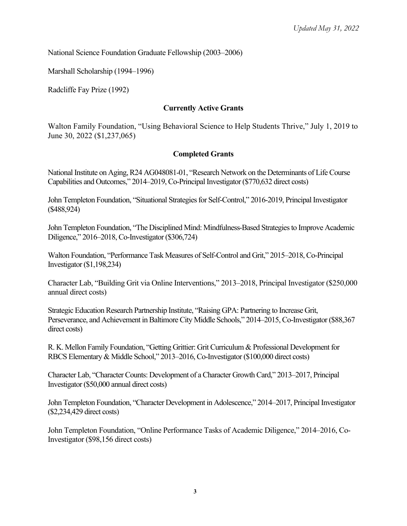National Science Foundation Graduate Fellowship (2003–2006)

Marshall Scholarship (1994–1996)

Radcliffe Fay Prize (1992)

### **Currently Active Grants**

Walton Family Foundation, "Using Behavioral Science to Help Students Thrive," July 1, 2019 to June 30, 2022 (\$1,237,065)

#### **Completed Grants**

National Institute on Aging, R24 AG048081-01, "Research Network on the Determinants of Life Course Capabilities and Outcomes," 2014–2019, Co-Principal Investigator (\$770,632 direct costs)

John Templeton Foundation, "Situational Strategies for Self-Control," 2016-2019, Principal Investigator (\$488,924)

John Templeton Foundation, "The Disciplined Mind: Mindfulness-Based Strategies to Improve Academic Diligence," 2016–2018, Co-Investigator (\$306,724)

Walton Foundation, "Performance Task Measures of Self-Control and Grit," 2015–2018, Co-Principal Investigator (\$1,198,234)

Character Lab, "Building Grit via Online Interventions," 2013–2018, Principal Investigator (\$250,000 annual direct costs)

Strategic Education Research Partnership Institute, "Raising GPA: Partnering to Increase Grit, Perseverance, and Achievement in Baltimore City Middle Schools," 2014–2015, Co-Investigator (\$88,367 direct costs)

R. K. Mellon Family Foundation, "Getting Grittier: Grit Curriculum & Professional Development for RBCS Elementary & Middle School," 2013–2016, Co-Investigator (\$100,000 direct costs)

Character Lab, "Character Counts: Development of a Character Growth Card," 2013–2017, Principal Investigator (\$50,000 annual direct costs)

John Templeton Foundation, "Character Development in Adolescence," 2014–2017, Principal Investigator (\$2,234,429 direct costs)

John Templeton Foundation, "Online Performance Tasks of Academic Diligence," 2014–2016, Co-Investigator (\$98,156 direct costs)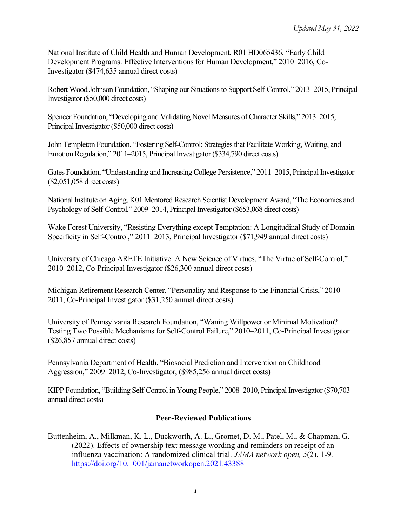National Institute of Child Health and Human Development, R01 HD065436, "Early Child Development Programs: Effective Interventions for Human Development," 2010–2016, Co-Investigator (\$474,635 annual direct costs)

Robert Wood Johnson Foundation, "Shaping our Situations to Support Self-Control," 2013–2015, Principal Investigator (\$50,000 direct costs)

Spencer Foundation, "Developing and Validating Novel Measures of Character Skills," 2013–2015, Principal Investigator (\$50,000 direct costs)

John Templeton Foundation, "Fostering Self-Control: Strategies that Facilitate Working, Waiting, and Emotion Regulation," 2011–2015, Principal Investigator (\$334,790 direct costs)

Gates Foundation, "Understanding and Increasing College Persistence," 2011–2015, Principal Investigator (\$2,051,058 direct costs)

National Institute on Aging, K01 Mentored Research Scientist Development Award, "The Economics and Psychology of Self-Control," 2009–2014, Principal Investigator (\$653,068 direct costs)

Wake Forest University, "Resisting Everything except Temptation: A Longitudinal Study of Domain Specificity in Self-Control," 2011–2013, Principal Investigator (\$71,949 annual direct costs)

University of Chicago ARETE Initiative: A New Science of Virtues, "The Virtue of Self-Control," 2010–2012, Co-Principal Investigator (\$26,300 annual direct costs)

Michigan Retirement Research Center, "Personality and Response to the Financial Crisis," 2010– 2011, Co-Principal Investigator (\$31,250 annual direct costs)

University of Pennsylvania Research Foundation, "Waning Willpower or Minimal Motivation? Testing Two Possible Mechanisms for Self-Control Failure," 2010–2011, Co-Principal Investigator (\$26,857 annual direct costs)

Pennsylvania Department of Health, "Biosocial Prediction and Intervention on Childhood Aggression," 2009–2012, Co-Investigator, (\$985,256 annual direct costs)

KIPP Foundation, "Building Self-Control in Young People," 2008–2010, Principal Investigator (\$70,703 annual direct costs)

# **Peer-Reviewed Publications**

Buttenheim, A., Milkman, K. L., Duckworth, A. L., Gromet, D. M., Patel, M., & Chapman, G. (2022). Effects of ownership text message wording and reminders on receipt of an influenza vaccination: A randomized clinical trial. *JAMA network open, 5*(2), 1-9. https://doi.org/10.1001/jamanetworkopen.2021.43388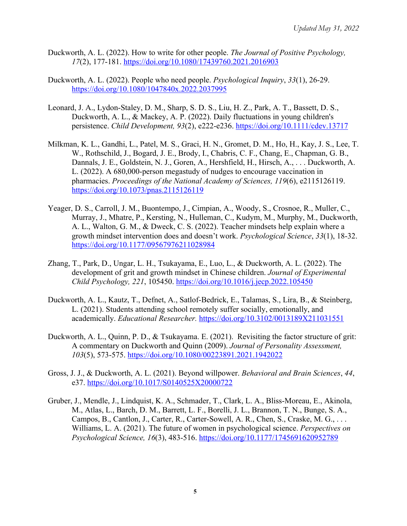- Duckworth, A. L. (2022). How to write for other people. *The Journal of Positive Psychology, 17*(2), 177-181. https://doi.org/10.1080/17439760.2021.2016903
- Duckworth, A. L. (2022). People who need people. *Psychological Inquiry*, *33*(1), 26-29. https://doi.org/10.1080/1047840x.2022.2037995
- Leonard, J. A., Lydon-Staley, D. M., Sharp, S. D. S., Liu, H. Z., Park, A. T., Bassett, D. S., Duckworth, A. L., & Mackey, A. P. (2022). Daily fluctuations in young children's persistence. *Child Development, 93*(2), e222-e236. https://doi.org/10.1111/cdev.13717
- Milkman, K. L., Gandhi, L., Patel, M. S., Graci, H. N., Gromet, D. M., Ho, H., Kay, J. S., Lee, T. W., Rothschild, J., Bogard, J. E., Brody, I., Chabris, C. F., Chang, E., Chapman, G. B., Dannals, J. E., Goldstein, N. J., Goren, A., Hershfield, H., Hirsch, A., . . . Duckworth, A. L. (2022). A 680,000-person megastudy of nudges to encourage vaccination in pharmacies. *Proceedings of the National Academy of Sciences, 119*(6), e2115126119. https://doi.org/10.1073/pnas.2115126119
- Yeager, D. S., Carroll, J. M., Buontempo, J., Cimpian, A., Woody, S., Crosnoe, R., Muller, C., Murray, J., Mhatre, P., Kersting, N., Hulleman, C., Kudym, M., Murphy, M., Duckworth, A. L., Walton, G. M., & Dweck, C. S. (2022). Teacher mindsets help explain where a growth mindset intervention does and doesn't work. *Psychological Science*, *33*(1), 18-32. https://doi.org/10.1177/09567976211028984
- Zhang, T., Park, D., Ungar, L. H., Tsukayama, E., Luo, L., & Duckworth, A. L. (2022). The development of grit and growth mindset in Chinese children. *Journal of Experimental Child Psychology, 221*, 105450. https://doi.org/10.1016/j.jecp.2022.105450
- Duckworth, A. L., Kautz, T., Defnet, A., Satlof-Bedrick, E., Talamas, S., Lira, B., & Steinberg, L. (2021). Students attending school remotely suffer socially, emotionally, and academically. *Educational Researcher.* https://doi.org/10.3102/0013189X211031551
- Duckworth, A. L., Quinn, P. D., & Tsukayama. E. (2021). Revisiting the factor structure of grit: A commentary on Duckworth and Quinn (2009). *Journal of Personality Assessment, 103*(5), 573-575. https://doi.org/10.1080/00223891.2021.1942022
- Gross, J. J., & Duckworth, A. L. (2021). Beyond willpower. *Behavioral and Brain Sciences*, *44*, e37. https://doi.org/10.1017/S0140525X20000722
- Gruber, J., Mendle, J., Lindquist, K. A., Schmader, T., Clark, L. A., Bliss-Moreau, E., Akinola, M., Atlas, L., Barch, D. M., Barrett, L. F., Borelli, J. L., Brannon, T. N., Bunge, S. A., Campos, B., Cantlon, J., Carter, R., Carter-Sowell, A. R., Chen, S., Craske, M. G., . . . Williams, L. A. (2021). The future of women in psychological science. *Perspectives on Psychological Science, 16*(3), 483-516. https://doi.org/10.1177/1745691620952789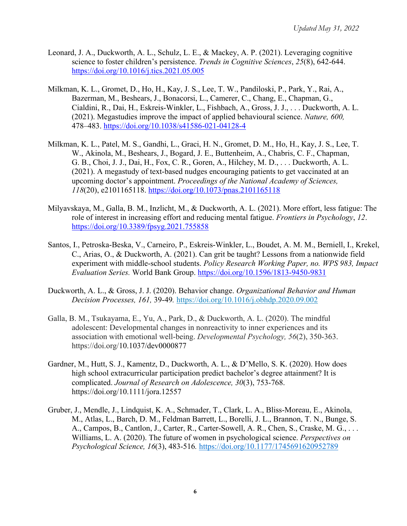- Leonard, J. A., Duckworth, A. L., Schulz, L. E., & Mackey, A. P. (2021). Leveraging cognitive science to foster children's persistence. *Trends in Cognitive Sciences*, *25*(8), 642-644. https://doi.org/10.1016/j.tics.2021.05.005
- Milkman, K. L., Gromet, D., Ho, H., Kay, J. S., Lee, T. W., Pandiloski, P., Park, Y., Rai, A., Bazerman, M., Beshears, J., Bonacorsi, L., Camerer, C., Chang, E., Chapman, G., Cialdini, R., Dai, H., Eskreis-Winkler, L., Fishbach, A., Gross, J. J., . . . Duckworth, A. L. (2021). Megastudies improve the impact of applied behavioural science. *Nature, 600,*  478–483. https://doi.org/10.1038/s41586-021-04128-4
- Milkman, K. L., Patel, M. S., Gandhi, L., Graci, H. N., Gromet, D. M., Ho, H., Kay, J. S., Lee, T. W., Akinola, M., Beshears, J., Bogard, J. E., Buttenheim, A., Chabris, C. F., Chapman, G. B., Choi, J. J., Dai, H., Fox, C. R., Goren, A., Hilchey, M. D., . . . Duckworth, A. L. (2021). A megastudy of text-based nudges encouraging patients to get vaccinated at an upcoming doctor's appointment. *Proceedings of the National Academy of Sciences, 118*(20), e2101165118. https://doi.org/10.1073/pnas.2101165118
- Milyavskaya, M., Galla, B. M., Inzlicht, M., & Duckworth, A. L. (2021). More effort, less fatigue: The role of interest in increasing effort and reducing mental fatigue. *Frontiers in Psychology*, *12*. https://doi.org/10.3389/fpsyg.2021.755858
- Santos, I., Petroska-Beska, V., Carneiro, P., Eskreis-Winkler, L., Boudet, A. M. M., Berniell, I., Krekel, C., Arias, O., & Duckworth, A. (2021). Can grit be taught? Lessons from a nationwide field experiment with middle-school students. *Policy Research Working Paper, no. WPS 983, Impact Evaluation Series.* World Bank Group. https://doi.org/10.1596/1813-9450-9831
- Duckworth, A. L., & Gross, J. J. (2020). Behavior change. *Organizational Behavior and Human Decision Processes, 161,* 39-49*.* https://doi.org/10.1016/j.obhdp.2020.09.002
- Galla, B. M., Tsukayama, E., Yu, A., Park, D., & Duckworth, A. L. (2020). The mindful adolescent: Developmental changes in nonreactivity to inner experiences and its association with emotional well-being. *Developmental Psychology, 56*(2), 350-363. https://doi.org/10.1037/dev0000877
- Gardner, M., Hutt, S. J., Kamentz, D., Duckworth, A. L., & D'Mello, S. K. (2020). How does high school extracurricular participation predict bachelor's degree attainment? It is complicated. *Journal of Research on Adolescence, 30*(3), 753-768. https://doi.org/10.1111/jora.12557
- Gruber, J., Mendle, J., Lindquist, K. A., Schmader, T., Clark, L. A., Bliss-Moreau, E., Akinola, M., Atlas, L., Barch, D. M., Feldman Barrett, L., Borelli, J. L., Brannon, T. N., Bunge, S. A., Campos, B., Cantlon, J., Carter, R., Carter-Sowell, A. R., Chen, S., Craske, M. G., . . . Williams, L. A. (2020). The future of women in psychological science. *Perspectives on Psychological Science, 16*(3), 483-516*.* https://doi.org/10.1177/1745691620952789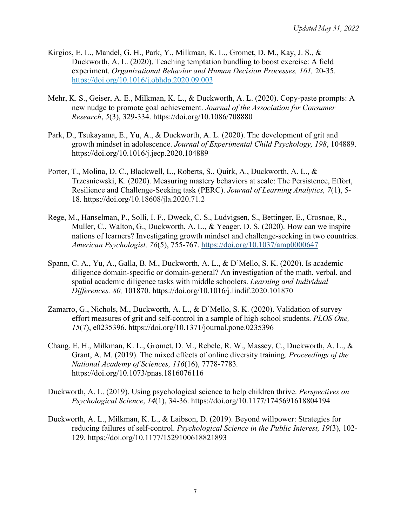- Kirgios, E. L., Mandel, G. H., Park, Y., Milkman, K. L., Gromet, D. M., Kay, J. S., & Duckworth, A. L. (2020). Teaching temptation bundling to boost exercise: A field experiment. *Organizational Behavior and Human Decision Processes, 161,* 20-35. https://doi.org/10.1016/j.obhdp.2020.09.003
- Mehr, K. S., Geiser, A. E., Milkman, K. L., & Duckworth, A. L. (2020). Copy-paste prompts: A new nudge to promote goal achievement. *Journal of the Association for Consumer Research*, *5*(3), 329-334. https://doi.org/10.1086/708880
- Park, D., Tsukayama, E., Yu, A., & Duckworth, A. L. (2020). The development of grit and growth mindset in adolescence. *Journal of Experimental Child Psychology, 198*, 104889. https://doi.org/10.1016/j.jecp.2020.104889
- Porter, T., Molina, D. C., Blackwell, L., Roberts, S., Quirk, A., Duckworth, A. L., & Trzesniewski, K. (2020). Measuring mastery behaviors at scale: The Persistence, Effort, Resilience and Challenge-Seeking task (PERC). *Journal of Learning Analytics, 7*(1), 5- 18*.* https://doi.org/10.18608/jla.2020.71.2
- Rege, M., Hanselman, P., Solli, I. F., Dweck, C. S., Ludvigsen, S., Bettinger, E., Crosnoe, R., Muller, C., Walton, G., Duckworth, A. L., & Yeager, D. S. (2020). How can we inspire nations of learners? Investigating growth mindset and challenge-seeking in two countries. *American Psychologist, 76*(5), 755-767. https://doi.org/10.1037/amp0000647
- Spann, C. A., Yu, A., Galla, B. M., Duckworth, A. L., & D'Mello, S. K. (2020). Is academic diligence domain-specific or domain-general? An investigation of the math, verbal, and spatial academic diligence tasks with middle schoolers. *Learning and Individual Differences. 80,* 101870. https://doi.org/10.1016/j.lindif.2020.101870
- Zamarro, G., Nichols, M., Duckworth, A. L., & D'Mello, S. K. (2020). Validation of survey effort measures of grit and self-control in a sample of high school students. *PLOS One, 15*(7), e0235396. https://doi.org/10.1371/journal.pone.0235396
- Chang, E. H., Milkman, K. L., Gromet, D. M., Rebele, R. W., Massey, C., Duckworth, A. L., & Grant, A. M. (2019). The mixed effects of online diversity training. *Proceedings of the National Academy of Sciences, 116*(16), 7778-7783*.*  https://doi.org/10.1073/pnas.1816076116
- Duckworth, A. L. (2019). Using psychological science to help children thrive. *Perspectives on Psychological Science*, *14*(1), 34-36. https://doi.org/10.1177/1745691618804194
- Duckworth, A. L., Milkman, K. L., & Laibson, D. (2019). Beyond willpower: Strategies for reducing failures of self-control. *Psychological Science in the Public Interest, 19*(3), 102- 129. https://doi.org/10.1177/1529100618821893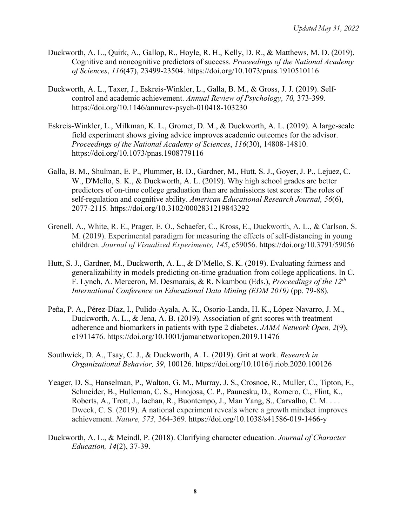- Duckworth, A. L., Quirk, A., Gallop, R., Hoyle, R. H., Kelly, D. R., & Matthews, M. D. (2019). Cognitive and noncognitive predictors of success. *Proceedings of the National Academy of Sciences*, *116*(47), 23499-23504. https://doi.org/10.1073/pnas.1910510116
- Duckworth, A. L., Taxer, J., Eskreis-Winkler, L., Galla, B. M., & Gross, J. J. (2019). Selfcontrol and academic achievement. *Annual Review of Psychology, 70,* 373-399. https://doi.org/10.1146/annurev-psych-010418-103230
- Eskreis-Winkler, L., Milkman, K. L., Gromet, D. M., & Duckworth, A. L. (2019). A large-scale field experiment shows giving advice improves academic outcomes for the advisor. *Proceedings of the National Academy of Sciences*, *116*(30), 14808-14810. https://doi.org/10.1073/pnas.1908779116
- Galla, B. M., Shulman, E. P., Plummer, B. D., Gardner, M., Hutt, S. J., Goyer, J. P., Lejuez, C. W., D'Mello, S. K., & Duckworth, A. L. (2019). Why high school grades are better predictors of on-time college graduation than are admissions test scores: The roles of self-regulation and cognitive ability. *American Educational Research Journal, 56*(6), 2077-2115*.* https://doi.org/10.3102/0002831219843292
- Grenell, A., White, R. E., Prager, E. O., Schaefer, C., Kross, E., Duckworth, A. L., & Carlson, S. M. (2019). Experimental paradigm for measuring the effects of self-distancing in young children. *Journal of Visualized Experiments, 145*, e59056. https://doi.org/10.3791/59056
- Hutt, S. J., Gardner, M., Duckworth, A. L., & D'Mello, S. K. (2019). Evaluating fairness and generalizability in models predicting on-time graduation from college applications. In C. F. Lynch, A. Merceron, M. Desmarais, & R. Nkambou (Eds.), *Proceedings of the 12th International Conference on Educational Data Mining (EDM 2019)* (pp. 79-88)*.*
- Peña, P. A., Pérez-Díaz, I., Pulido-Ayala, A. K., Osorio-Landa, H. K., López-Navarro, J. M., Duckworth, A. L., & Jena, A. B. (2019). Association of grit scores with treatment adherence and biomarkers in patients with type 2 diabetes. *JAMA Network Open, 2*(9), e1911476. https://doi.org/10.1001/jamanetworkopen.2019.11476
- Southwick, D. A., Tsay, C. J., & Duckworth, A. L. (2019). Grit at work. *Research in Organizational Behavior, 39*, 100126. https://doi.org/10.1016/j.riob.2020.100126
- Yeager, D. S., Hanselman, P., Walton, G. M., Murray, J. S., Crosnoe, R., Muller, C., Tipton, E., Schneider, B., Hulleman, C. S., Hinojosa, C. P., Paunesku, D., Romero, C., Flint, K., Roberts, A., Trott, J., Iachan, R., Buontempo, J., Man Yang, S., Carvalho, C. M. . . . Dweck, C. S. (2019). A national experiment reveals where a growth mindset improves achievement. *Nature, 573,* 364-369*.* https://doi.org/10.1038/s41586-019-1466-y
- Duckworth, A. L., & Meindl, P. (2018). Clarifying character education. *Journal of Character Education, 14*(2), 37-39.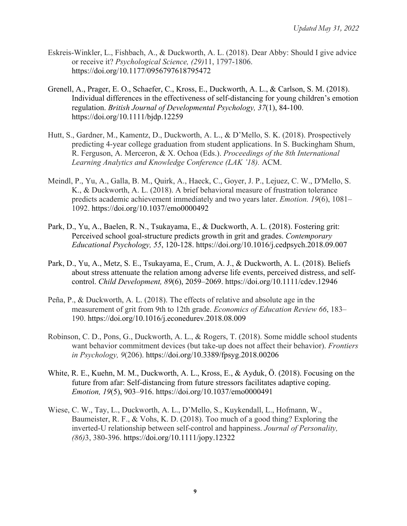- Eskreis-Winkler, L., Fishbach, A., & Duckworth, A. L. (2018). Dear Abby: Should I give advice or receive it? *Psychological Science, (29)*11, 1797-1806. https://doi.org/10.1177/0956797618795472
- Grenell, A., Prager, E. O., Schaefer, C., Kross, E., Duckworth, A. L., & Carlson, S. M. (2018). Individual differences in the effectiveness of self-distancing for young children's emotion regulation. *British Journal of Developmental Psychology, 37*(1), 84-100. https://doi.org/10.1111/bjdp.12259
- Hutt, S., Gardner, M., Kamentz, D., Duckworth, A. L., & D'Mello, S. K. (2018). Prospectively predicting 4-year college graduation from student applications. In S. Buckingham Shum, R. Ferguson, A. Merceron, & X. Ochoa (Eds.). *Proceedings of the 8th International Learning Analytics and Knowledge Conference (LAK '18).* ACM.
- Meindl, P., Yu, A., Galla, B. M., Quirk, A., Haeck, C., Goyer, J. P., Lejuez, C. W., D'Mello, S. K., & Duckworth, A. L. (2018). A brief behavioral measure of frustration tolerance predicts academic achievement immediately and two years later. *Emotion. 19*(6), 1081– 1092. https://doi.org/10.1037/emo0000492
- Park, D., Yu, A., Baelen, R. N., Tsukayama, E., & Duckworth, A. L. (2018). Fostering grit: Perceived school goal-structure predicts growth in grit and grades. *Contemporary Educational Psychology, 55*, 120-128. https://doi.org/10.1016/j.cedpsych.2018.09.007
- Park, D., Yu, A., Metz, S. E., Tsukayama, E., Crum, A. J., & Duckworth, A. L. (2018). Beliefs about stress attenuate the relation among adverse life events, perceived distress, and self‐ control. *Child Development, 89*(6), 2059–2069. https://doi.org/10.1111/cdev.12946
- Peña, P., & Duckworth, A. L. (2018). The effects of relative and absolute age in the measurement of grit from 9th to 12th grade. *Economics of Education Review 66*, 183– 190. https://doi.org/10.1016/j.econedurev.2018.08.009
- Robinson, C. D., Pons, G., Duckworth, A. L., & Rogers, T. (2018). Some middle school students want behavior commitment devices (but take-up does not affect their behavior). *Frontiers in Psychology, 9*(206). https://doi.org/10.3389/fpsyg.2018.00206
- White, R. E., Kuehn, M. M., Duckworth, A. L., Kross, E., & Ayduk, Ö. (2018). Focusing on the future from afar: Self-distancing from future stressors facilitates adaptive coping. *Emotion, 19*(5), 903–916. https://doi.org/10.1037/emo0000491
- Wiese, C. W., Tay, L., Duckworth, A. L., D'Mello, S., Kuykendall, L., Hofmann, W., Baumeister, R. F., & Vohs, K. D. (2018). Too much of a good thing? Exploring the inverted-U relationship between self-control and happiness. *Journal of Personality, (86)*3, 380-396. https://doi.org/10.1111/jopy.12322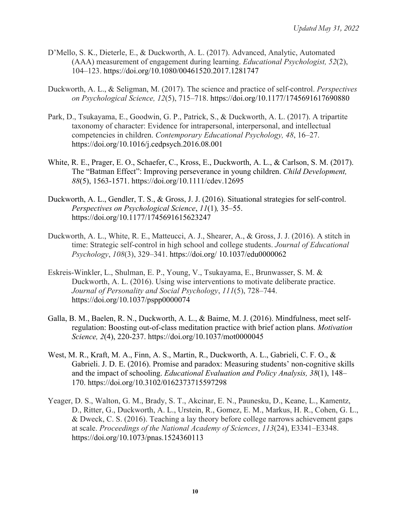- D'Mello, S. K., Dieterle, E., & Duckworth, A. L. (2017). Advanced, Analytic, Automated (AAA) measurement of engagement during learning. *Educational Psychologist, 52*(2), 104–123. https://doi.org/10.1080/00461520.2017.1281747
- Duckworth, A. L., & Seligman, M. (2017). The science and practice of self-control. *Perspectives on Psychological Science, 12*(5), 715–718. https://doi.org/10.1177/1745691617690880
- Park, D., Tsukayama, E., Goodwin, G. P., Patrick, S., & Duckworth, A. L. (2017). A tripartite taxonomy of character: Evidence for intrapersonal, interpersonal, and intellectual competencies in children. *Contemporary Educational Psychology, 48*, 16–27. https://doi.org/10.1016/j.cedpsych.2016.08.001
- White, R. E., Prager, E. O., Schaefer, C., Kross, E., Duckworth, A. L., & Carlson, S. M. (2017). The "Batman Effect": Improving perseverance in young children. *Child Development, 88*(5), 1563-1571. https://doi.org/10.1111/cdev.12695
- Duckworth, A. L., Gendler, T. S., & Gross, J. J. (2016). Situational strategies for self-control. *Perspectives on Psychological Science*, *11*(1)*,* 35–55. https://doi.org/10.1177/1745691615623247
- Duckworth, A. L., White, R. E., Matteucci, A. J., Shearer, A., & Gross, J. J. (2016). A stitch in time: Strategic self-control in high school and college students. *Journal of Educational Psychology*, *108*(3), 329–341. https://doi.org/ 10.1037/edu0000062
- Eskreis-Winkler, L., Shulman, E. P., Young, V., Tsukayama, E., Brunwasser, S. M. & Duckworth, A. L. (2016). Using wise interventions to motivate deliberate practice. *Journal of Personality and Social Psychology*, *111*(5), 728–744. https://doi.org/10.1037/pspp0000074
- Galla, B. M., Baelen, R. N., Duckworth, A. L., & Baime, M. J. (2016). Mindfulness, meet selfregulation: Boosting out-of-class meditation practice with brief action plans. *Motivation Science, 2*(4), 220-237. https://doi.org/10.1037/mot0000045
- West, M. R., Kraft, M. A., Finn, A. S., Martin, R., Duckworth, A. L., Gabrieli, C. F. O., & Gabrieli. J. D. E. (2016). Promise and paradox: Measuring students' non-cognitive skills and the impact of schooling. *Educational Evaluation and Policy Analysis, 38*(1), 148– 170. https://doi.org/10.3102/0162373715597298
- Yeager, D. S., Walton, G. M., Brady, S. T., Akcinar, E. N., Paunesku, D., Keane, L., Kamentz, D., Ritter, G., Duckworth, A. L., Urstein, R., Gomez, E. M., Markus, H. R., Cohen, G. L., & Dweck, C. S. (2016). Teaching a lay theory before college narrows achievement gaps at scale. *Proceedings of the National Academy of Sciences*, *113*(24), E3341–E3348. https://doi.org/10.1073/pnas.1524360113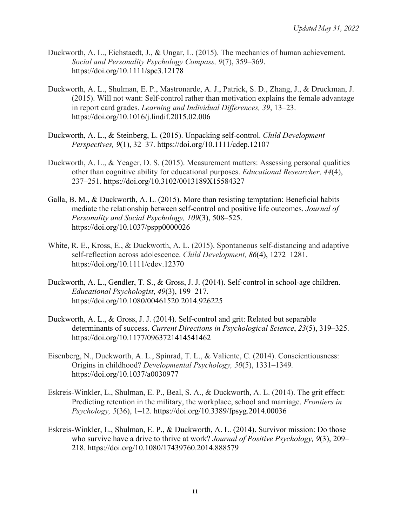- Duckworth, A. L., Eichstaedt, J., & Ungar, L. (2015). The mechanics of human achievement. *Social and Personality Psychology Compass, 9*(7), 359–369. https://doi.org/10.1111/spc3.12178
- Duckworth, A. L., Shulman, E. P., Mastronarde, A. J., Patrick, S. D., Zhang, J., & Druckman, J. (2015). Will not want: Self-control rather than motivation explains the female advantage in report card grades. *Learning and Individual Differences, 39*, 13–23. https://doi.org/10.1016/j.lindif.2015.02.006
- Duckworth, A. L., & Steinberg, L. (2015). Unpacking self-control. *Child Development Perspectives, 9*(1), 32–37. https://doi.org/10.1111/cdep.12107
- Duckworth, A. L., & Yeager, D. S. (2015). Measurement matters: Assessing personal qualities other than cognitive ability for educational purposes. *Educational Researcher, 44*(4), 237–251. https://doi.org/10.3102/0013189X15584327
- Galla, B. M., & Duckworth, A. L. (2015). More than resisting temptation: Beneficial habits mediate the relationship between self-control and positive life outcomes. *Journal of Personality and Social Psychology, 109*(3), 508–525. https://doi.org/10.1037/pspp0000026
- White, R. E., Kross, E., & Duckworth, A. L. (2015). Spontaneous self-distancing and adaptive self-reflection across adolescence. *Child Development, 86*(4), 1272–1281. https://doi.org/10.1111/cdev.12370
- Duckworth, A. L., Gendler, T. S., & Gross, J. J. (2014). Self-control in school-age children. *Educational Psychologist*, *49*(3), 199–217. https://doi.org/10.1080/00461520.2014.926225
- Duckworth, A. L., & Gross, J. J. (2014). Self-control and grit: Related but separable determinants of success. *Current Directions in Psychological Science*, *23*(5), 319–325. https://doi.org/10.1177/0963721414541462
- Eisenberg, N., Duckworth, A. L., Spinrad, T. L., & Valiente, C. (2014). Conscientiousness: Origins in childhood? *Developmental Psychology, 50*(5), 1331–1349*.*  https://doi.org/10.1037/a0030977
- Eskreis-Winkler, L., Shulman, E. P., Beal, S. A., & Duckworth, A. L. (2014). The grit effect: Predicting retention in the military, the workplace, school and marriage. *Frontiers in Psychology, 5*(36), 1–12. https://doi.org/10.3389/fpsyg.2014.00036
- Eskreis-Winkler, L., Shulman, E. P., & Duckworth, A. L. (2014). Survivor mission: Do those who survive have a drive to thrive at work? *Journal of Positive Psychology, 9*(3), 209– 218*.* https://doi.org/10.1080/17439760.2014.888579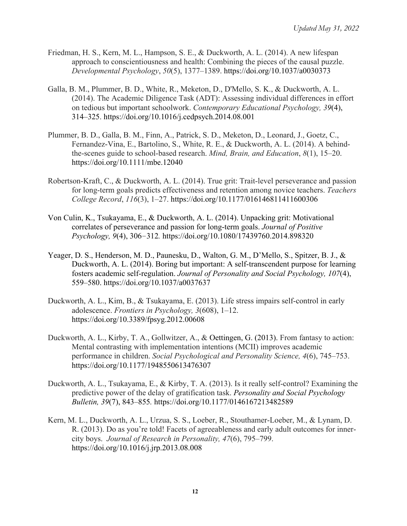- Friedman, H. S., Kern, M. L., Hampson, S. E., & Duckworth, A. L. (2014). A new lifespan approach to conscientiousness and health: Combining the pieces of the causal puzzle. *Developmental Psychology*, *50*(5), 1377–1389. https://doi.org/10.1037/a0030373
- Galla, B. M., Plummer, B. D., White, R., Meketon, D., D'Mello, S. K., & Duckworth, A. L. (2014). The Academic Diligence Task (ADT): Assessing individual differences in effort on tedious but important schoolwork. *Contemporary Educational Psychology, 39*(4), 314–325. https://doi.org/10.1016/j.cedpsych.2014.08.001
- Plummer, B. D., Galla, B. M., Finn, A., Patrick, S. D., Meketon, D., Leonard, J., Goetz, C., Fernandez-Vina, E., Bartolino, S., White, R. E., & Duckworth, A. L. (2014). A behindthe-scenes guide to school-based research. *Mind, Brain, and Education*, *8*(1), 15–20. https://doi.org/10.1111/mbe.12040
- Robertson-Kraft, C., & Duckworth, A. L. (2014). True grit: Trait-level perseverance and passion for long-term goals predicts effectiveness and retention among novice teachers. *Teachers College Record*, *116*(3), 1–27. https://doi.org/10.1177/016146811411600306
- Von Culin, K., Tsukayama, E., & Duckworth, A. L. (2014). Unpacking grit: Motivational correlates of perseverance and passion for long-term goals. *Journal of Positive Psychology, 9*(4), 306–312*.* https://doi.org/10.1080/17439760.2014.898320
- Yeager, D. S., Henderson, M. D., Paunesku, D., Walton, G. M., D'Mello, S., Spitzer, B. J., & Duckworth, A. L. (2014). Boring but important: A self-transcendent purpose for learning fosters academic self-regulation. *Journal of Personality and Social Psychology, 107*(4), 559–580. https://doi.org/10.1037/a0037637
- Duckworth, A. L., Kim, B., & Tsukayama, E. (2013). Life stress impairs self-control in early adolescence. *Frontiers in Psychology, 3*(608), 1–12. https://doi.org/10.3389/fpsyg.2012.00608
- Duckworth, A. L., Kirby, T. A., Gollwitzer, A., & Oettingen, G. (2013). From fantasy to action: Mental contrasting with implementation intentions (MCII) improves academic performance in children. *Social Psychological and Personality Science, 4*(6), 745–753. https://doi.org/10.1177/1948550613476307
- Duckworth, A. L., Tsukayama, E., & Kirby, T. A. (2013). Is it really self-control? Examining the predictive power of the delay of gratification task. *Personality and Social Psychology Bulletin, 39*(7), 843–855*.* https://doi.org/10.1177/0146167213482589
- Kern, M. L., Duckworth, A. L., Urzua, S. S., Loeber, R., Stouthamer-Loeber, M., & Lynam, D. R. (2013). Do as you're told! Facets of agreeableness and early adult outcomes for innercity boys. *Journal of Research in Personality, 47*(6), 795–799. https://doi.org/10.1016/j.jrp.2013.08.008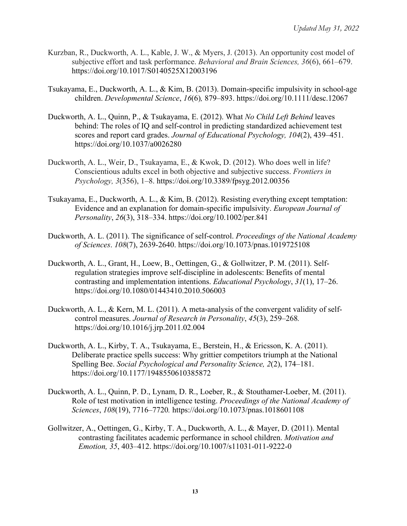- Kurzban, R., Duckworth, A. L., Kable, J. W., & Myers, J. (2013). An opportunity cost model of subjective effort and task performance. *Behavioral and Brain Sciences, 36*(6), 661–679. https://doi.org/10.1017/S0140525X12003196
- Tsukayama, E., Duckworth, A. L., & Kim, B. (2013). Domain-specific impulsivity in school-age children. *Developmental Science*, *16*(6)*,* 879–893. https://doi.org/10.1111/desc.12067
- Duckworth, A. L., Quinn, P., & Tsukayama, E. (2012). What *No Child Left Behind* leaves behind: The roles of IQ and self-control in predicting standardized achievement test scores and report card grades. *Journal of Educational Psychology, 104*(2), 439–451. https://doi.org/10.1037/a0026280
- Duckworth, A. L., Weir, D., Tsukayama, E., & Kwok, D. (2012). Who does well in life? Conscientious adults excel in both objective and subjective success. *Frontiers in Psychology, 3*(356), 1–8. https://doi.org/10.3389/fpsyg.2012.00356
- Tsukayama, E., Duckworth, A. L., & Kim, B. (2012). Resisting everything except temptation: Evidence and an explanation for domain-specific impulsivity. *European Journal of Personality*, *26*(3), 318–334. https://doi.org/10.1002/per.841
- Duckworth, A. L. (2011). The significance of self-control. *Proceedings of the National Academy of Sciences*. *108*(7), 2639-2640. https://doi.org/10.1073/pnas.1019725108
- Duckworth, A. L., Grant, H., Loew, B., Oettingen, G., & Gollwitzer, P. M. (2011). Selfregulation strategies improve self-discipline in adolescents: Benefits of mental contrasting and implementation intentions. *Educational Psychology*, *31*(1), 17–26. https://doi.org/10.1080/01443410.2010.506003
- Duckworth, A. L., & Kern, M. L. (2011). A meta-analysis of the convergent validity of selfcontrol measures. *Journal of Research in Personality*, *45*(3), 259–268*.* https://doi.org/10.1016/j.jrp.2011.02.004
- Duckworth, A. L., Kirby, T. A., Tsukayama, E., Berstein, H., & Ericsson, K. A. (2011). Deliberate practice spells success: Why grittier competitors triumph at the National Spelling Bee. *Social Psychological and Personality Science, 2*(2), 174–181. https://doi.org/10.1177/1948550610385872
- Duckworth, A. L., Quinn, P. D., Lynam, D. R., Loeber, R., & Stouthamer-Loeber, M. (2011). Role of test motivation in intelligence testing. *Proceedings of the National Academy of Sciences*, *108*(19), 7716–7720*.* https://doi.org/10.1073/pnas.1018601108
- Gollwitzer, A., Oettingen, G., Kirby, T. A., Duckworth, A. L., & Mayer, D. (2011). Mental contrasting facilitates academic performance in school children. *Motivation and Emotion, 35*, 403–412. https://doi.org/10.1007/s11031-011-9222-0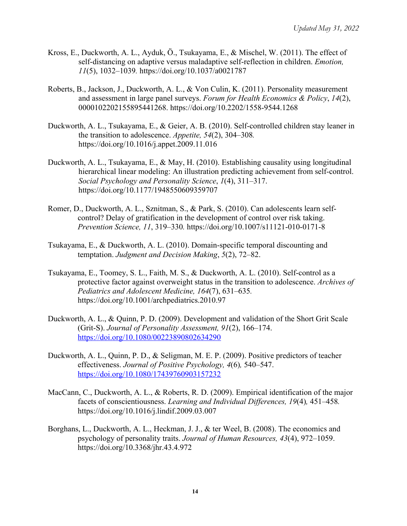- Kross, E., Duckworth, A. L., Ayduk, Ö., Tsukayama, E., & Mischel, W. (2011). The effect of self-distancing on adaptive versus maladaptive self-reflection in children. *Emotion, 11*(5), 1032–1039*.* https://doi.org/10.1037/a0021787
- Roberts, B., Jackson, J., Duckworth, A. L., & Von Culin, K. (2011). Personality measurement and assessment in large panel surveys. *Forum for Health Economics & Policy*, *14*(2), 0000102202155895441268. https://doi.org/10.2202/1558-9544.1268
- Duckworth, A. L., Tsukayama, E., & Geier, A. B. (2010). Self-controlled children stay leaner in the transition to adolescence. *Appetite, 54*(2), 304–308*.* https://doi.org/10.1016/j.appet.2009.11.016
- Duckworth, A. L., Tsukayama, E., & May, H. (2010). Establishing causality using longitudinal hierarchical linear modeling: An illustration predicting achievement from self-control. *Social Psychology and Personality Science*, *1*(4), 311–317. https://doi.org/10.1177/1948550609359707
- Romer, D., Duckworth, A. L., Sznitman, S., & Park, S. (2010). Can adolescents learn selfcontrol? Delay of gratification in the development of control over risk taking. *Prevention Science, 11*, 319–330*.* https://doi.org/10.1007/s11121-010-0171-8
- Tsukayama, E., & Duckworth, A. L. (2010). Domain-specific temporal discounting and temptation. *Judgment and Decision Making*, *5*(2), 72–82.
- Tsukayama, E., Toomey, S. L., Faith, M. S., & Duckworth, A. L. (2010). Self-control as a protective factor against overweight status in the transition to adolescence. *Archives of Pediatrics and Adolescent Medicine, 164*(7), 631–635*.*  https://doi.org/10.1001/archpediatrics.2010.97
- Duckworth, A. L., & Quinn, P. D. (2009). Development and validation of the Short Grit Scale (Grit-S). *Journal of Personality Assessment, 91*(2), 166–174. https://doi.org/10.1080/00223890802634290
- Duckworth, A. L., Quinn, P. D., & Seligman, M. E. P. (2009). Positive predictors of teacher effectiveness. *Journal of Positive Psychology, 4*(6)*,* 540–547. https://doi.org/10.1080/17439760903157232
- MacCann, C., Duckworth, A. L., & Roberts, R. D. (2009). Empirical identification of the major facets of conscientiousness. *Learning and Individual Differences, 19*(4)*,* 451–458*.* https://doi.org/10.1016/j.lindif.2009.03.007
- Borghans, L., Duckworth, A. L., Heckman, J. J., & ter Weel, B. (2008). The economics and psychology of personality traits. *Journal of Human Resources, 43*(4), 972–1059. https://doi.org/10.3368/jhr.43.4.972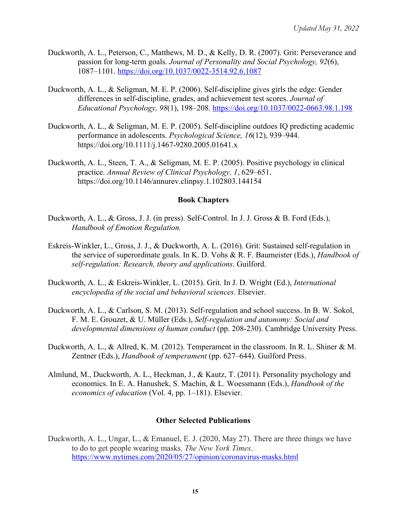- Duckworth, A. L., Peterson, C., Matthews, M. D., & Kelly, D. R. (2007). Grit: Perseverance and passion for long-term goals. *Journal of Personality and Social Psychology, 92*(6), 1087–1101. https://doi.org/10.1037/0022-3514.92.6.1087
- Duckworth, A. L., & Seligman, M. E. P. (2006). Self-discipline gives girls the edge: Gender differences in self-discipline, grades, and achievement test scores. *Journal of Educational Psychology, 98*(1), 198–208. https://doi.org/10.1037/0022-0663.98.1.198
- Duckworth, A. L., & Seligman, M. E. P. (2005). Self-discipline outdoes IQ predicting academic performance in adolescents. *Psychological Science, 16*(12), 939–944. https://doi.org/10.1111/j.1467-9280.2005.01641.x
- Duckworth, A. L., Steen, T. A., & Seligman, M. E. P. (2005). Positive psychology in clinical practice. *Annual Review of Clinical Psychology, 1*, 629–651. https://doi.org/10.1146/annurev.clinpsy.1.102803.144154

#### **Book Chapters**

- Duckworth, A. L., & Gross, J. J. (in press). Self-Control. In J. J. Gross & B. Ford (Eds.), *Handbook of Emotion Regulation.*
- Eskreis-Winkler, L., Gross, J. J., & Duckworth, A. L. (2016). Grit: Sustained self-regulation in the service of superordinate goals. In K. D. Vohs & R. F. Baumeister (Eds.), *Handbook of self-regulation: Research, theory and applications*. Guilford.
- Duckworth, A. L., & Eskreis-Winkler, L. (2015). Grit. In J. D. Wright (Ed.), *International encyclopedia of the social and behavioral sciences.* Elsevier.
- Duckworth, A. L., & Carlson, S. M. (2013). Self-regulation and school success. In B. W. Sokol, F. M. E. Grouzet, & U. Müller (Eds.), *Self-regulation and autonomy: Social and developmental dimensions of human conduct* (pp. 208-230). Cambridge University Press.
- Duckworth, A. L., & Allred, K. M. (2012). Temperament in the classroom. In R. L. Shiner & M. Zentner (Eds.), *Handbook of temperament* (pp. 627–644). Guilford Press.
- Almlund, M., Duckworth, A. L., Heckman, J., & Kautz, T. (2011). Personality psychology and economics. In E. A. Hanushek, S. Machin, & L. Woessmann (Eds.), *Handbook of the economics of education* (Vol. 4, pp. 1–181). Elsevier.

## **Other Selected Publications**

Duckworth, A. L., Ungar, L., & Emanuel, E. J. (2020, May 27). There are three things we have to do to get people wearing masks. *The New York Times*. https://www.nytimes.com/2020/05/27/opinion/coronavirus-masks.html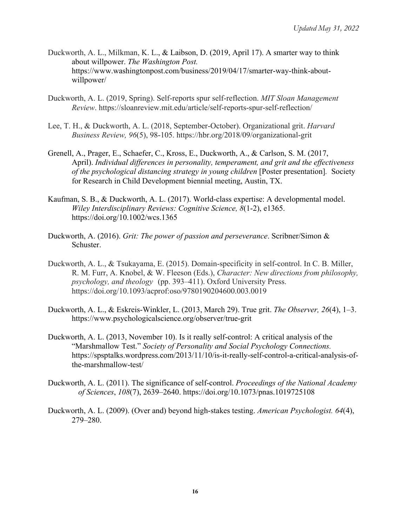- Duckworth, A. L., Milkman, K. L., & Laibson, D. (2019, April 17). A smarter way to think about willpower. *The Washington Post.* https://www.washingtonpost.com/business/2019/04/17/smarter-way-think-aboutwillpower/
- Duckworth, A. L. (2019, Spring). Self-reports spur self-reflection. *MIT Sloan Management Review*. https://sloanreview.mit.edu/article/self-reports-spur-self-reflection/
- Lee, T. H., & Duckworth, A. L. (2018, September-October). Organizational grit. *Harvard Business Review, 96*(5), 98-105. https://hbr.org/2018/09/organizational-grit
- Grenell, A., Prager, E., Schaefer, C., Kross, E., Duckworth, A., & Carlson, S. M. (2017, April). *Individual differences in personality, temperament, and grit and the effectiveness of the psychological distancing strategy in young children* [Poster presentation]*.* Society for Research in Child Development biennial meeting, Austin, TX.
- Kaufman, S. B., & Duckworth, A. L. (2017). World-class expertise: A developmental model. *Wiley Interdisciplinary Reviews: Cognitive Science, 8*(1-2), e1365. https://doi.org/10.1002/wcs.1365
- Duckworth, A. (2016). *Grit: The power of passion and perseverance*. Scribner/Simon & Schuster.
- Duckworth, A. L., & Tsukayama, E. (2015). Domain-specificity in self-control. In C. B. Miller, R. M. Furr, A. Knobel, & W. Fleeson (Eds.), *Character: New directions from philosophy, psychology, and theology* (pp. 393–411). Oxford University Press. https://doi.org/10.1093/acprof:oso/9780190204600.003.0019
- Duckworth, A. L., & Eskreis-Winkler, L. (2013, March 29). True grit. *The Observer, 26*(4), 1–3. https://www.psychologicalscience.org/observer/true-grit
- Duckworth, A. L. (2013, November 10). Is it really self-control: A critical analysis of the "Marshmallow Test." *Society of Personality and Social Psychology Connections.* https://spsptalks.wordpress.com/2013/11/10/is-it-really-self-control-a-critical-analysis-ofthe-marshmallow-test/
- Duckworth, A. L. (2011). The significance of self-control. *Proceedings of the National Academy of Sciences*, *108*(7), 2639–2640. https://doi.org/10.1073/pnas.1019725108
- Duckworth, A. L. (2009). (Over and) beyond high-stakes testing. *American Psychologist. 64*(4), 279–280.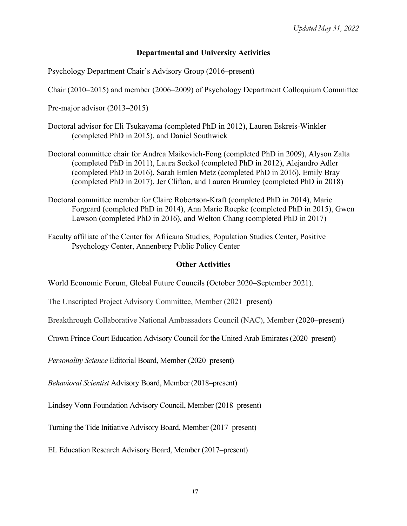## **Departmental and University Activities**

Psychology Department Chair's Advisory Group (2016–present)

Chair (2010–2015) and member (2006–2009) of Psychology Department Colloquium Committee

Pre-major advisor (2013–2015)

- Doctoral advisor for Eli Tsukayama (completed PhD in 2012), Lauren Eskreis-Winkler (completed PhD in 2015), and Daniel Southwick
- Doctoral committee chair for Andrea Maikovich-Fong (completed PhD in 2009), Alyson Zalta (completed PhD in 2011), Laura Sockol (completed PhD in 2012), Alejandro Adler (completed PhD in 2016), Sarah Emlen Metz (completed PhD in 2016), Emily Bray (completed PhD in 2017), Jer Clifton, and Lauren Brumley (completed PhD in 2018)
- Doctoral committee member for Claire Robertson-Kraft (completed PhD in 2014), Marie Forgeard (completed PhD in 2014), Ann Marie Roepke (completed PhD in 2015), Gwen Lawson (completed PhD in 2016), and Welton Chang (completed PhD in 2017)
- Faculty affiliate of the Center for Africana Studies, Population Studies Center, Positive Psychology Center, Annenberg Public Policy Center

#### **Other Activities**

World Economic Forum, Global Future Councils (October 2020–September 2021).

The Unscripted Project Advisory Committee, Member (2021–present)

Breakthrough Collaborative National Ambassadors Council (NAC), Member (2020–present)

Crown Prince Court Education Advisory Council for the United Arab Emirates (2020–present)

*Personality Science* Editorial Board, Member (2020–present)

*Behavioral Scientist* Advisory Board, Member (2018–present)

Lindsey Vonn Foundation Advisory Council, Member (2018–present)

Turning the Tide Initiative Advisory Board, Member (2017–present)

EL Education Research Advisory Board, Member (2017–present)